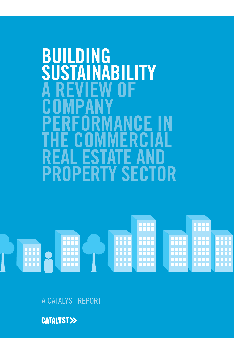# **BUILDING<br>SUSTAINA ABILITY DF COMPANY CEIN THE COMMERCIAL REAL ESTATE AND PROPERTY SECTOR**



A CATALYST REPORT

**CATALYST>>**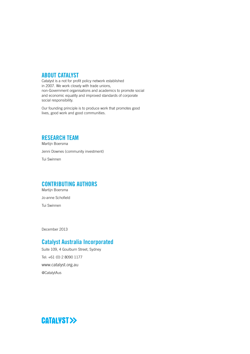#### **ABOUT CATALYST**

Catalyst is a not for profit policy network established in 2007. We work closely with trade unions, non-Government organisations and academics to promote social and economic equality and improved standards of corporate social responsibility.

Our founding principle is to produce work that promotes good lives, good work and good communities.

#### **RESEARCH TEAM**

Martijn Boersma Jenni Downes (community investment) Tui Swinnen

#### **CONTRIBUTING AUTHORS**

Martijn Boersma Jo-anne Schofield Tui Swinnen

December 2013

#### **Catalyst Australia Incorporated**

Suite 109, 4 Goulburn Street, Sydney Tel: +61 (0) 2 8090 1177 www.catalyst.org.au @CatalytAus

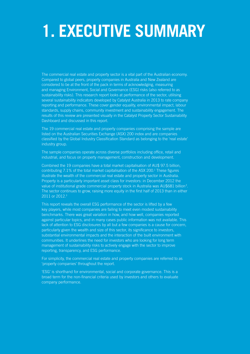# **1. EXECUTIVE SUMMARY**

The commercial real estate and property sector is a vital part of the Australian economy. Compared to global peers, property companies in Australia and New Zealand are considered to be at the front of the pack in terms of acknowledging, measuring and managing Environment, Social and Governance (ESG) risks (also referred to as sustainability risks). This research report looks at performance of the sector, utilising several sustainability indicators developed by Catalyst Australia in 2013 to rate company reporting and performance. These cover gender equality, environmental impact, labour standards, supply chains, community investment and sustainability engagement. The results of this review are presented visually in the Catalyst Property Sector Sustainability Dashboard and discussed in this report.

The 19 commercial real estate and property companies comprising the sample are listed on the Australian Securities Exchange (ASX) 200 index and are companies classified by the Global Industry Classification Standard as belonging to the 'real estate' industry group.

The sample companies operate across diverse portfolios including office, retail and industrial, and focus on property management, construction and development.

Combined the 19 companies have a total market capitalisation of AU\$ 97.5 billion, contributing 7.1% of the total market capitalisation of the ASX 200.<sup>1</sup> These figures illustrate the wealth of the commercial real estate and property sector in Australia. Property is a particularly important asset class for investors: in December 2012 the value of institutional grade commercial property stock in Australia was AU\$681 billion<sup>2</sup>. The sector continues to grow, raising more equity in the first half of 2013 than in either 2011 or 2012.<sup>3</sup>

This report reveals the overall ESG performance of the sector is lifted by a few key players, while most companies are failing to meet even modest sustainability benchmarks. There was great variation in how, and how well, companies reported against particular topics, and in many cases public information was not available. This lack of attention to ESG disclosures by all but a few companies is a cause for concern, particularly given the wealth and size of this sector, its significance to investors, substantial environmental impacts and the interaction of the built environment with communities. It underlines the need for investors who are looking for long term management of sustainability risks to actively engage with the sector to improve reporting, transparency, and ESG performance.

For simplicity, the commercial real estate and property companies are referred to as 'property companies' throughout the report.

'ESG' is shorthand for environmental, social and corporate governance. This is a broad term for the non-financial criteria used by investors and others to evaluate company performance.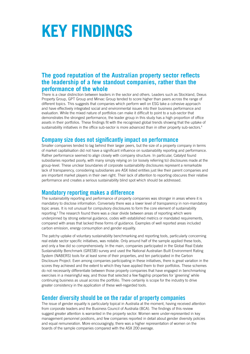# **KEY FINDINGS**

#### **The good reputation of the Australian property sector reflects the leadership of a few standout companies, rather than the performance of the whole**

There is a clear distinction between leaders in the sector and others. Leaders such as Stockland, Dexus Property Group, GPT Group and Mirvac Group tended to score higher than peers across the range of different topics. This suggests that companies which perform well on ESG take a cohesive approach and have effectively integrated social and environmental issues into their business performance and evaluation. While the mixed nature of portfolios can make it difficult to point to a sub-sector that demonstrates the strongest performance, the leader group in this study has a high proportion of office assets in their portfolios. These findings fit with the recognised global trends showing that the uptake of sustainability initiatives in the office sub-sector is more advanced than in other property sub-sectors.<sup>4</sup>

#### **Company size does not significantly impact on performance**

Smaller companies tended to lag behind their larger peers, but the size of a property company in terms of market capitalisation did not have a significant influence on sustainability reporting and performance. Rather performance seemed to align closely with company structure. In particular, Catalyst found subsidiaries reported poorly, with many simply relying on (or loosely referring to) disclosures made at the group-level. These unclear boundaries of corporate sustainability disclosures represent a remarkable lack of transparency, considering subsidiaries are ASX listed entities just like their parent companies and are important market players in their own right. Their lack of attention to reporting obscures their relative performance and creates a serious sustainability blind spot which should be addressed.

#### **Mandatory reporting makes a difference**

The sustainability reporting and performance of property companies was stronger in areas where it is mandatory to disclose information. Conversely there was a lower level of transparency in non-mandatory topic areas. It is not unusual for compulsory disclosures to form the core element of sustainability reporting.<sup>5</sup> The research found there was a clear divide between areas of reporting which were underpinned by strong external guidance, codes with established metrics or mandated requirements, compared with areas that lacked these forms of guidance. Examples of well reported areas included carbon emission, energy consumption and gender equality.

The patchy uptake of voluntary sustainability benchmarking and reporting tools, particularly concerning real estate sector specific initiatives, was notable. Only around half of the sample applied these tools, and only a few did so comprehensively. In the main, companies participated in the Global Real Estate Sustainability Benchmark (GRESB) survey and used the National Australian Built Environment Rating System (NABERS) tools for at least some of their properties, and ten participated in the Carbon Disclosure Project. Even among companies participating in these initiatives, there is great variation in the scores they achieved and the extent to which they have applied them to their portfolios. These schemes do not necessarily differentiate between those property companies that have engaged in benchmarking exercises in a meaningful way, and those that selected a few flagship properties for 'greening' while continuing business as usual across the portfolio. There certainly is scope for the industry to drive greater consistency in the application of these well-regarded tools.

#### **Gender diversity should be on the radar of property companies**

The issue of gender equality is particularly topical in Australia at the moment, having received attention from corporate leaders and the Business Council of Australia (BCA). The findings of this review suggest greater attention is warranted in the property sector. Women were under-represented in key management personnel positions, and few companies reported in detail about gender diversity policies and equal remuneration. More encouragingly, there was a higher representation of women on the boards of the sample companies compared with the ASX 200 average.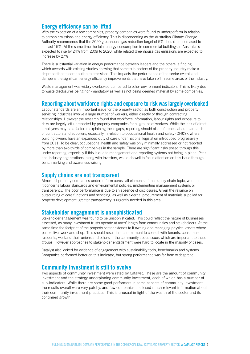#### **Energy efficiency can be lifted**

With the exception of a few companies, property companies were found to underperform in relation to carbon emissions and energy efficiency. This is disconcerting as the Australian Climate Change Authority recommends that the 2020 greenhouse gas reduction target of 5% should be increased to at least 15%. At the same time the total energy consumption in commercial buildings in Australia is expected to rise by 24% from 2009 to 2020, while related greenhouse gas emissions are expected to increase by 27%.

There is substantial variation in energy performance between leaders and the others, a finding which accords with existing studies showing that some sub-sectors of the property industry make a disproportionate contribution to emissions. This impacts the performance of the sector overall and dampens the significant energy efficiency improvements that have taken off in some areas of the industry.

Waste management was widely overlooked compared to other environment indicators. This is likely due to waste disclosures being non-mandatory as well as not being deemed material by some companies.

#### **Reporting about workforce rights and exposure to risk was largely overlooked**

Labour standards are an important issue for the property sector, as both construction and property servicing industries involve a large number of workers, either directly or through contracting relationships. However the research found that workforce information, labour rights and exposure to risks are largely left unreported by property companies for all groups of workers. While the lack of direct employees may be a factor in explaining these gaps, reporting should also reference labour standards of contractors and suppliers, especially in relation to occupational health and safety (OH&S), where building owners have an expanded duty of care under national legislation introduced progressively from 2011. To be clear, occupational health and safety was only minimally addressed or not reported by more than two-thirds of companies in the sample. There are significant risks posed through this under reporting, especially if this is due to management and reporting systems not being in place. Peak and industry organisations, along with investors, would do well to focus attention on this issue through benchmarking and awareness-raising.

#### **Supply chains are not transparent**

Almost all property companies underperform across all elements of the supply chain topic, whether it concerns labour standards and environmental policies, implementing management systems or transparency. The poor performance is due to an absence of disclosures. Given the reliance on outsourcing of core functions and servicing, as well as external procurement of materials supplied for property development, greater transparency is urgently needed in this area.

#### **Stakeholder engagement is unsophisticated**

Stakeholder engagement was found to be unsophisticated. This could reflect the nature of businesses assessed, as many investment trusts operate at arms' length from communities and stakeholders. At the same time the footprint of the property sector extends to it owning and managing physical assets where people live, work and shop. This should result in a commitment to consult with tenants, consumers, residents, workers, their unions and others in the community about issues which are important to these groups. However approaches to stakeholder engagement were hard to locate in the majority of cases.

Catalyst also looked for evidence of engagement with sustainability tools, benchmarks and systems. Companies performed better on this indicator, but strong performance was far from widespread.

#### **Community Investment is still to evolve**

Two aspects of community investment were rated by Catalyst. These are the amount of community investment and the strategy underpinning community investment, each of which has a number of sub-indicators. While there are some good performers in some aspects of community investment, the results overall were very patchy, and few companies disclosed much relevant information about their community investment practices. This is unusual in light of the wealth of the sector and its continued growth.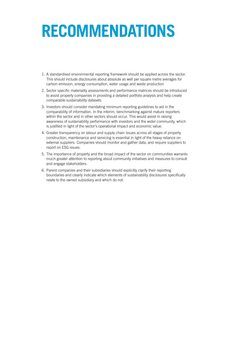# **RECOMMENDATIONS**

- 1. A standardised environmental reporting framework should be applied across the sector. This should include disclosures about absolute as well per square metre averages for carbon emission, energy consumption, water usage and waste production
- 2. Sector specific materiality assessments and performance matrices should be introduced to assist property companies in providing a detailed portfolio analysis and help create comparable sustainability datasets.
- 3. Investors should consider mandating minimum reporting guidelines to aid in the comparability of information. In the interim, benchmarking against mature reporters within the sector and in other sectors should occur. This would assist in raising awareness of sustainability performance with investors and the wider community, which is justified in light of the sector's operational impact and economic value.
- 4. Greater transparency on labour and supply chain issues across all stages of property construction, maintenance and servicing is essential in light of the heavy reliance on external suppliers. Companies should monitor and gather data, and require suppliers to report on ESG issues.
- 5. The importance of property and the broad impact of the sector on communities warrants much greater attention to reporting about community initiatives and measures to consult and engage stakeholders.
- 6. Parent companies and their subsidiaries should explicitly clarify their reporting boundaries and clearly indicate which elements of sustainability disclosures specifically relate to the owned subsidiary and which do not.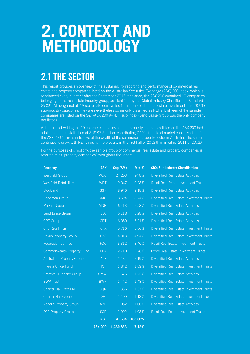# **2. CONTEXT AND METHODOLOGY**

## **2.1 THE SECTOR**

This report provides an overview of the sustainability reporting and performance of commercial real estate and property companies listed on the Australian Securities Exchange (ASX) 200 index, which is rebalanced every quarter.<sup>6</sup> After the September 2013 rebalance, the ASX 200 contained 19 companies belonging to the real estate industry group, as identified by the Global Industry Classification Standard (GICS). Although not all 19 real estate companies fall into one of the real estate investment trust (REIT) sub-industry categories, they are nevertheless commonly classified as REITs. Eighteen of the sample companies are listed on the S&P/ASX 200 A-REIT sub-index (Lend Lease Group was the only company not listed).

At the time of writing the 19 commercial real estate and property companies listed on the ASX 200 had a total market capitalisation of AU\$ 97.5 billion, contributing 7.1% of the total market capitalisation of the ASX 200.<sup>7</sup> This is indicative of the wealth of the commercial property sector in Australia. The sector continues to grow, with REITs raising more equity in the first half of 2013 than in either 2011 or 2012.<sup>8</sup>

For the purposes of simplicity, the sample group of commercial real estate and property companies is referred to as 'property companies' throughout the report.

| <b>Company</b>                   | <b>ASX</b>     | Cap (\$M) | Mkt %   | <b>GICs Sub-Industry Classification</b>          |
|----------------------------------|----------------|-----------|---------|--------------------------------------------------|
| <b>Westfield Group</b>           | <b>WDC</b>     | 24,263    | 24.8%   | <b>Diversified Real Estate Activities</b>        |
| <b>Westfield Retail Trust</b>    | <b>WRT</b>     | 9,047     | 9.28%   | <b>Retail Real Estate Investment Trusts</b>      |
| Stockland                        | <b>SGP</b>     | 8,946     | 9.18%   | <b>Diversified Real Estate Activities</b>        |
| Goodman Group                    | <b>GMG</b>     | 8,524     | 8.74%   | Diversified Real Estate Investment Trusts        |
| <b>Mirvac Group</b>              | <b>MGR</b>     | 6,413     | 6.58%   | <b>Diversified Real Estate Activities</b>        |
| Lend Lease Group                 | <b>LLC</b>     | 6,118     | 6.28%   | <b>Diversified Real Estate Activities</b>        |
| <b>GPT Group</b>                 | <b>GPT</b>     | 6,050     | 6.21%   | <b>Diversified Real Estate Activities</b>        |
| <b>CFS Retail Trust</b>          | <b>CFX</b>     | 5,716     | 5.86%   | Diversified Real Estate Investment Trusts        |
| <b>Dexus Property Group</b>      | <b>DXS</b>     | 4,813     | 4.94%   | Diversified Real Estate Investment Trusts        |
| <b>Federation Centres</b>        | <b>FDC</b>     | 3,312     | 3.40%   | <b>Retail Real Estate Investment Trusts</b>      |
| Commonwealth Property Fund       | <b>CPA</b>     | 2,710     | 2.78%   | <b>Office Real Estate Investment Trusts</b>      |
| <b>Australand Property Group</b> | <b>ALZ</b>     | 2,134     | 2.19%   | <b>Diversified Real Estate Activities</b>        |
| <b>Investa Office Fund</b>       | <b>IOF</b>     | 1,842     | 1.89%   | Diversified Real Estate Investment Trusts        |
| <b>Cromwell Property Group</b>   | <b>CMW</b>     | 1,676     | 1.72%   | <b>Diversified Real Estate Activities</b>        |
| <b>BWP Trust</b>                 | <b>BWP</b>     | 1,442     | 1.48%   | Diversified Real Estate Investment Trusts        |
| <b>Charter Hall Retail REIT</b>  | <b>CQR</b>     | 1,336     | 1.37%   | Diversified Real Estate Investment Trusts        |
| <b>Charter Hall Group</b>        | <b>CHC</b>     | 1,100     | 1.13%   | <b>Diversified Real Estate Investment Trusts</b> |
| <b>Abacus Property Group</b>     | <b>ABP</b>     | 1,052     | 1.08%   | <b>Diversified Real Estate Activities</b>        |
| <b>SCP Property Group</b>        | <b>SCP</b>     | 1,002     | 1.03%   | Retail Real Estate Investment Trusts             |
|                                  | <b>Total</b>   | 97,504    | 100.00% |                                                  |
|                                  | <b>ASX 200</b> | 1,369,833 | 7.12%   |                                                  |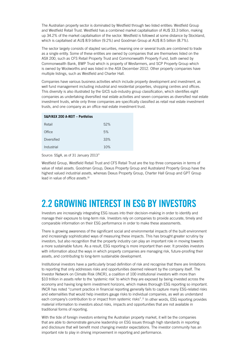The Australian property sector is dominated by Westfield through two listed entities: Westfield Group and Westfield Retail Trust. Westfield has a combined market capitalisation of AU\$ 33.3 billion, making up 34.2% of the market capitalisation of the sector. Westfield is followed at some distance by Stockland, which is capitalised at AU\$ 8.9 billion (9.2%) and Goodman Group at AU\$ 8.5 billion (8.7%).

The sector largely consists of stapled securities, meaning one or several trusts are combined to trade as a single entity. Some of these entities are owned by companies that are themselves listed on the ASX 200, such as CFS Retail Property Trust and Commonwealth Property Fund, both owned by Commonwealth Bank, BWP Trust which is property of Wesfarmers, and SCP Property Group which is owned by Woolworths and was listed in the ASX December 2012. Other property companies have multiple listings, such as Westfield and Charter Hall.

Companies have various business activities which include property development and investment, as well fund management including industrial and residential properties, shopping centres and offices. This diversity is also illustrated by the GICS sub-industry group classification, which identifies eight companies as undertaking diversified real estate activities and seven companies as diversified real estate investment trusts, while only three companies are specifically classified as retail real estate investment trusts, and one company as an office real estate investment trust.

| Retail             | 52% |
|--------------------|-----|
| Office             | 5%  |
| <b>Diversified</b> | 33% |
| Industrial         | 10% |

Source: SSgA, as of 31 January 2013<sup>9</sup>

Westfield Group, Westfield Retail Trust and CFS Retail Trust are the top three companies in terms of value of retail assets. Goodman Group, Dexus Property Group and Australand Property Group have the highest valued industrial assets, whereas Dexus Property Group, Charter Hall Group and GPT Group lead in value of office assets.<sup>10</sup>

## **2.2 GROWING INTEREST IN ESG BY INVESTORS**

Investors are increasingly integrating ESG issues into their decision-making in order to identify and manage their exposure to long-term risk. Investors rely on companies to provide accurate, timely and comparable information on their ESG performance in order to make these assessments.

There is growing awareness of the significant social and environmental impacts of the built environment and increasingly sophisticated ways of measuring these impacts. This has brought greater scrutiny by investors, but also recognition that the property industry can play an important role in moving towards a more sustainable future. As a result, ESG reporting is more important than ever. It provides investors with information about the ways in which property companies are managing risk, future-proofing their assets, and contributing to long-term sustainable development.

Institutional investors have a particularly broad definition of risk and recognise that there are limitations to reporting that only addresses risks and opportunities deemed relevant by the company itself. The Investor Network on Climate Risk (INCR), a coalition of 100 institutional investors with more than \$10 trillion in assets refer to the 'systemic risk' to which they are exposed by being invested across the economy and having long-term investment horizons, which makes thorough ESG reporting so important. INCR has noted "current practice in financial reporting generally fails to capture many ESG-related risks and externalities that would help investors gauge risks to individual companies, as well as understand each company's contribution to or impact from systemic risks".<sup>11</sup> In other words, ESG reporting provides material information to investors about risks, impacts and opportunities that are not available in traditional forms of reporting.

With the tide of foreign investors entering the Australian property market, it will be the companies that are able to demonstrate genuine leadership on ESG issues through high standards in reporting and disclosure that will benefit most changing investor expectations. The investor community has an important role to play in driving improvement in reporting and performance.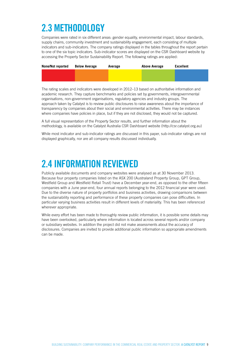# **2.3 METHODOLOGY**

Companies were rated in six different areas: gender equality, environmental impact, labour standards, supply chains, community investment and sustainability engagement, each consisting of multiple indicators and sub-indicators. The company ratings displayed in the tables throughout the report pertain to one of the six topic indicators. Sub-indicator scores are displayed on the CSR Dashboard website by accessing the Property Sector Sustainability Report. The following ratings are applied:

| None/Not reported | <b>Below Average</b> | Average | Above Average | <b>Excellent</b> |
|-------------------|----------------------|---------|---------------|------------------|
|                   |                      |         |               |                  |
|                   |                      |         |               |                  |

The rating scales and indicators were developed in 2012–13 based on authoritative information and academic research. They capture benchmarks and policies set by governments, intergovernmental organisations, non-government organisations, regulatory agencies and industry groups. The approach taken by Catalyst is to review public disclosures to raise awareness about the importance of transparency by companies about their social and environmental activities. There may be instances where companies have policies in place, but if they are not disclosed, they would not be captured.

A full visual representation of the Property Sector results, and further information about the methodology, is available on the Catalyst Australia CSR Dashboard website (http://csr.catalyst.org.au)

While most indicator and sub-indicator ratings are discussed in this paper, sub-indicator ratings are not displayed graphically, nor are all company results discussed individually.

## **2.4 INFORMATION REVIEWED**

Publicly available documents and company websites were analysed as at 30 November 2013. Because four property companies listed on the ASX 200 (Australand Property Group, GPT Group, Westfield Group and Westfield Retail Trust) have a December year-end, as opposed to the other fifteen companies with a June year-end, four annual reports belonging to the 2012 financial year were used. Due to the diverse nature of property portfolios and business activities, drawing comparisons between the sustainability reporting and performance of these property companies can pose difficulties. In particular varying business activities result in different levels of materiality. This has been referenced wherever appropriate.

While every effort has been made to thoroughly review public information, it is possible some details may have been overlooked, particularly where information is located across several reports and/or company or subsidiary websites. In addition the project did not make assessments about the accuracy of disclosures. Companies are invited to provide additional public information so appropriate amendments can be made.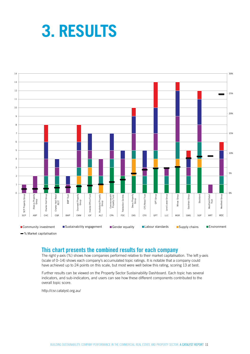# **3. RESULTS**



% Market capitalisation

#### **This chart presents the combined results for each company**

The right y-axis (%) shows how companies performed relative to their market capitalisation. The left y-axis (scale of 0–14) shows each company's accumulated topic ratings. It is notable that a company could have achieved up to 24 points on this scale, but most were well below this rating, scoring 13 at best.

Further results can be viewed on the Property Sector Sustainability Dashboard. Each topic has several indicators, and sub-indicators, and users can see how these different components contributed to the overall topic score.

http://csr.catalyst.org.au/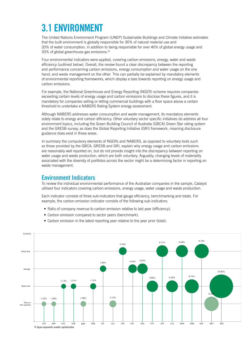# **3.1 ENVIRONMENT**

The United Nations Environment Program (UNEP) Sustainable Buildings and Climate Initiative estimates that the built environment is globally responsible for 30% of natural material use and 20% of water consumption, in addition to being responsible for over 40% of global energy usage and 33% of global greenhouse gas emissions.<sup>12</sup>

Four environmental indicators were applied, covering carbon emissions, energy, water and waste efficiency (outlined below). Overall, the review found a clear discrepancy between the reporting and performance concerning carbon emissions, energy consumption and water usage on the one hand, and waste management on the other. This can partially be explained by mandatory elements of environmental reporting frameworks, which display a bias towards reporting on energy usage and carbon emissions.

For example, the National Greenhouse and Energy Reporting (NGER) scheme requires companies exceeding certain levels of energy usage and carbon emissions to disclose these figures, and it is mandatory for companies selling or letting commercial buildings with a floor space above a certain threshold to undertake a NABERS Rating System energy assessment.

Although NABERS addresses water consumption and waste management, its mandatory elements solely relate to energy and carbon efficiency. Other voluntary sector specific initiatives do address all four environment topics, including the Green Building Council of Australia (GBCA) Green Star rating system and the GRESB survey, as does the Global Reporting Initiative (GRI) framework, meaning disclosure guidance does exist in these areas.

In summary the compulsory elements of NGERs and NABERS, as opposed to voluntary tools such as those provided by the GBCA, GRESB and GRI, explain why energy usage and carbon emissions are reasonably well reported on, but do not provide insight into the discrepancy between reporting on water usage and waste production, which are both voluntary. Arguably, changing levels of materiality associated with the diversity of portfolios across the sector might be a determining factor in reporting on waste management.

#### **Environment Indicators**

To review the individual environmental performance of the Australian companies in the sample, Catalyst utilised four indicators covering carbon emissions, energy usage, water usage and waste production.

Each indicator consists of three sub-indicators that gauge efficiency, benchmarking and totals. For example, the carbon emission indicator consists of the following sub-indicators:

- Ratio of company revenue to carbon emission relative to last year (efficiency).
- Carbon emission compared to sector peers (benchmark).
- Carbon emission in the latest reporting year relative to the year prior (total).

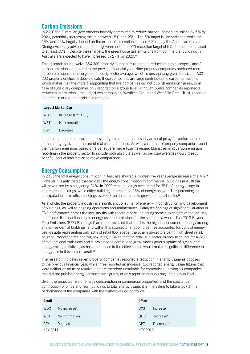#### **Carbon Emissions**

In 2010 the Australian governments formally committed to reduce national carbon emissions by 5% by 2020, potentially increasing this to between 15% and 25%. The 5% target is unconditional while the 15% and 25% targets depend on the extent of international action.13 Recently the Australian Climate Change Authority advised the federal government the 2020 reduction target of 5% should be increased to at least 15%.<sup>14</sup> Despite these targets, the greenhouse gas emissions from commercial buildings in Australia are expected to have increased by 27% by 2020.<sup>15</sup>

This research found twelve ASX 200 property companies reported a reduction in total scope 1 and 2 carbon emissions compared to the previous financial year. Nine property companies produced more carbon emissions than the global property sector average, which is unsurprising given the size of ASX 200 property entities. It does indicate these companies are large contributors to carbon emissions, which makes it all the more disappointing that five companies did not publish emission figures, or in case of subsidiary companies only reported on a group level. Although twelve companies reported a reduction in emissions, the largest two companies, Westfield Group and Westfield Retail Trust, recorded an increase or did not disclose information.

| <b>Largest Market Cap</b> |                    |  |  |
|---------------------------|--------------------|--|--|
| <b>WDC</b>                | Increase (FY 2011) |  |  |
| <b>WRT</b>                | No information     |  |  |
| SGP                       | Decrease           |  |  |
|                           |                    |  |  |

It should be noted total carbon emission figures are not necessarily an ideal proxy for performance due to the changing size and nature of real estate portfolios. As well, a number of property companies report their carbon emissions based on a per square metre (sqm) average. Mainstreaming carbon emission reporting in the property sector to include both absolute as well as per sqm averages would greatly benefit users of information to make comparisons.

#### **Energy Consumption**

In 2011 the total energy consumption in Australia showed a modest five year average increase of 1.4%.<sup>16</sup> However it is anticipated that by 2020 the energy consumption in commercial buildings in Australia will have risen by a staggering 24%. In 2009 retail buildings accounted for 35% of energy usage in commercial buildings, while office buildings represented 25% of energy usage.<sup>17</sup> This percentage is anticipated to fall in office buildings by 2020, but to continue to grow in the retail sector.<sup>18</sup>

As a whole, the property industry is a significant consumer of energy – in construction and development of buildings, as well as ongoing operations and maintenance. Catalyst's findings of significant variation in ESG performance across the industry fits with recent reports indicating some sub-sectors of the industry contribute disproportionately to energy use and emissions for the sector as a whole. The 2013 Beyond Zero Emissions (BZE) Buildings Plan report revealed that retail is the highest consumer of energy among all non-residential buildings, and within this sub-sector shopping centres accounted for 53% of energy use, despite representing only 23% of retail floor space (the other sub-sectors being high street retail, neighbourhood centres and big box retail).19 Given that the retail sub-sector already accounts for 4–5% of total national emissions and is projected to continue to grow, more rigorous uptake of 'green' and energy saving initiatives, as has taken place in the office sector, would make a significant difference to energy use in this sector overall.<sup>20</sup>

The research indicates seven property companies reported a reduction in energy usage as opposed to the previous financial year, while three reported an increase, two reported energy usage figures that were neither absolute or relative, and are therefore unsuitable for comparison, leaving six companies that did not publish energy consumption figures, or only reported energy usage on a group level.

Given the projected rise of energy consumption in commercial properties, and the substantial contribution of office and retail buildings to total energy usage, it is interesting to take a look at the performance of the companies with the highest valued portfolios.

| Retail     |                | <b>Office</b> |           |
|------------|----------------|---------------|-----------|
| <b>WDC</b> | No increase*   | DXS           | Increase  |
| <b>WRT</b> | No information | GHC           | Decrease* |
| <b>CFX</b> | Decrease       | <b>GPT</b>    | Decrease* |
| *FY 2011   |                | *FY 2012      |           |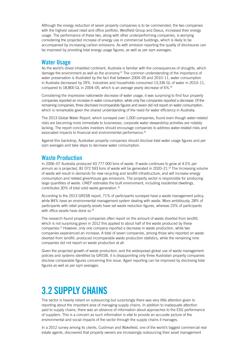Although the energy reduction of seven property companies is to be commended, the two companies with the highest valued retail and office portfolio, Westfield Group and Dexus, increased their energy usage. The performance of these two, along with other underperforming companies, is worrying considering the projected increase of energy use in commercial buildings, which is likely to be accompanied by increasing carbon emissions. As with emission reporting the quality of disclosures can be improved by providing total energy usage figures, as well as per sqm averages.

#### **Water Usage**

As the world's driest inhabited continent, Australia is familiar with the consequences of droughts, which damage the environment as well as the economy.<sup>21</sup> The common understanding of the importance of water preservation is illustrated by the fact that between 2004–05 and 2010–11, water consumption in Australia decreased by 29%. Industries and households consumed 13,336 GL of water in 2010–11, compared to 18,800 GL in 2004–05, which is an average yearly decrease of 6%.<sup>22</sup>

Considering the impressive nationwide decrease of water usage, it was surprising to find four property companies reported an increase in water consumption, while only five companies reported a decrease. Of the remaining companies, three disclosed incomparable figures and seven did not report on water consumption, which is remarkable given the shared understanding of the need for water efficiency in Australia.

The 2013 Global Water Report, which surveyed over 1,000 companies, found even though water-related risks are becoming more immediate to businesses, corporate water stewardship activities are notably lacking. The report concludes investors should encourage companies to address water-related risks and associated impacts to financial and environmental performance.<sup>23</sup>

Against this backdrop, Australian property companies should disclose total water usage figures and per sqm averages and take steps to decrease water consumption.

#### **Waste Production**

In 2006–07 Australia produced 43 777 000 tons of waste. If waste continues to grow at 4.5% per annum as is projected,  $81\,072\,593$  tons of waste will be generated in  $2020-21$ .<sup>24</sup> The Increasing volume of waste will result in demands for new recycling and landfill infrastructure, and will increase energy consumption and related greenhouse gas emissions. The property sector is responsible for producing large quantities of waste. UNEP estimates the built environment, including residential dwellings, contributes 30% of total solid waste generation.<sup>25</sup>

According to the 2013 GRESB report, 71% of participants surveyed have a waste management policy, while 84% have an environmental management system dealing with waste. More ambitiously, 28% of participants with retail property assets have set waste reduction figures, whereas 23% of participants with office assets have done so.<sup>26</sup>

The research found property companies often report on the amount of waste diverted from landfill, which is not surprising given in 2012 this applied to about half of the waste produced by these companies.27 However, only one company reported a decrease in waste production, while two companies experienced an increase. A total of seven companies, among those who reported on waste diverted from landfill, produced incomparable waste production statistics, while the remaining nine companies did not report on waste production at all.

Given the projected growth of waste production, and the widespread global use of waste management policies and systems identified by GRESB, it is disappointing only three Australian property companies disclose comparable figures concerning this issue. Again reporting can be improved by disclosing total figures as well as per sqm averages.

### **3.2 SUPPLY CHAINS**

The sector is heavily reliant on outsourcing but surprisingly there was very little attention given to reporting about the important area of managing supply chains. In addition to inadequate attention paid to supply chains, there was an absence of information about approaches to the ESG performance of suppliers. This is a concern as such information is vital to provide an accurate picture of the environmental and social impacts of the sector through the supply chains it manages.

In a 2012 survey among its clients, Cushman and Wakefield, one of the world's biggest commercial real estate agents, discovered that property owners are increasingly outsourcing their asset management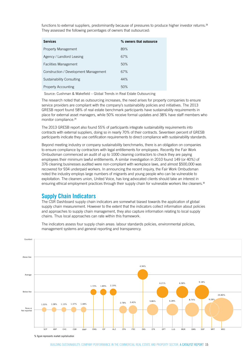functions to external suppliers, predominantly because of pressures to produce higher investor returns.<sup>28</sup> They assessed the following percentages of owners that outsourced:

| <b>Services</b>                       | % owners that outsource |
|---------------------------------------|-------------------------|
| Property Management                   | 89%                     |
| Agency / Landlord Leasing             | 67%                     |
| <b>Facilities Management</b>          | 50%                     |
| Construction / Development Management | 67%                     |
| <b>Sustainability Consulting</b>      | 44%                     |
| <b>Property Accounting</b>            | 50%                     |

Source: Cushman & Wakefield – Global Trends in Real Estate Outsourcing

The research noted that as outsourcing increases, the need arises for property companies to ensure service providers are compliant with the company's sustainability policies and initiatives. The 2013 GRESB report found 58% of real estate benchmark participants have sustainability requirements in place for external asset managers, while 50% receive formal updates and 38% have staff members who monitor compliance.<sup>29</sup>

The 2013 GRESB report also found 55% of participants integrate sustainability requirements into contracts with external suppliers, doing so in nearly 70% of their contracts. Seventeen percent of GRESB participants indicate they use certification requirements to direct compliance with sustainability standards.

Beyond meeting industry or company sustainability benchmarks, there is an obligation on companies to ensure compliance by contractors with legal entitlements for employees. Recently the Fair Work Ombudsman commenced an audit of up to 1000 cleaning contractors to check they are paying employees their minimum lawful entitlements. A similar investigation in 2010 found 149 (or 40%) of 376 cleaning businesses audited were non-compliant with workplace laws, and almost \$500,000 was recovered for 934 underpaid workers. In announcing the recent inquiry, the Fair Work Ombudsman noted the industry employs large numbers of migrants and young people who can be vulnerable to exploitation. The cleaners union, United Voice, has long advocated clients should take an interest in ensuring ethical employment practices through their supply chain for vulnerable workers like cleaners.<sup>30</sup>

#### **Supply Chain Indicators**

The CSR Dashboard supply chain indicators are somewhat biased towards the application of global supply chain measurement. However to the extent that the indicators collect information about policies and approaches to supply chain management, they also capture information relating to local supply chains. Thus local approaches can rate within this framework.

The indicators assess four supply chain areas: labour standards policies, environmental policies, management systems and general reporting and transparency.



% figure represents market capitalisation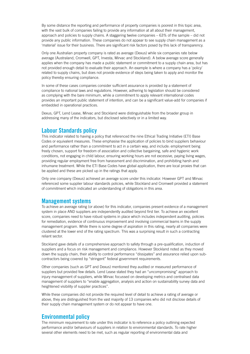By some distance the reporting and performance of property companies is poorest in this topic area, with the vast bulk of companies failing to provide any information at all about their management, approach and policies to supply chains. A staggering twelve companies – 63% of the sample – did not provide any public information. These companies do not appear to see supply chain management as a 'material' issue for their business. There are significant risk factors posed by this lack of transparency.

Only one Australian property company is rated as average (Dexus) while six companies rate below average (Australand, Cromwell, GPT, Investa, Mirvac and Stockland). A below average score generally applies when the company has made a public statement or commitment to a supply chain area, but has not provided enough detail to evaluate their approach. An example is where a company has a 'policy' related to supply chains, but does not provide evidence of steps being taken to apply and monitor the policy thereby ensuring compliance.

In some of these cases companies consider sufficient assurance is provided by a statement of compliance to national laws and regulations. However, adhering to legislation should be considered as complying with the bare minimum, while a commitment to apply relevant international codes provides an important public statement of intention, and can be a significant value-add for companies if embedded in operational practices.

Dexus, GPT, Lend Lease, Mirvac and Stockland were distinguishable from the broader group in addressing many of the indicators, but disclosed selectively or in a limited way.

#### **Labour Standards policy**

This indicator related to having a policy that referenced the nine Ethical Trading Initiative (ETI) Base Codes or equivalent measures. These emphasise the application of policies to bind suppliers behaviour and performance rather than a commitment to act in a certain way, and include: employment being freely chosen, support for freedom of association and collective bargaining, safe and hygienic work conditions, not engaging in child labour, ensuring working hours are not excessive, paying living wages, providing regular employment free from harassment and discrimination, and prohibiting harsh and inhumane treatment. While the ETI Base Codes have global application, there are local proxies that can be applied and these are picked up in the ratings that apply.

Only one company (Dexus) achieved an average score under this indicator. However GPT and Mirvac referenced some supplier labour standards policies, while Stockland and Cromwell provided a statement of commitment which indicated an understanding of obligations in this area.

#### **Management systems**

To achieve an average rating (or above) for this indicator, companies present evidence of a management system in place AND suppliers are independently audited beyond first tier. To achieve an excellent score, companies need to have robust systems in place which includes independent auditing, policies for remediation, evidence of continuous improvement and involving commercial teams in the supply management program. While there is some degree of aspiration in this rating, nearly all companies were clustered at the lower end of the rating spectrum. This was a surprising result in such a contracting reliant sector.

Stockland gave details of a comprehensive approach to safety through a pre-qualification, induction of suppliers and a focus on risk management and compliance. However Stockland noted as they moved down the supply chain, their ability to control performance "dissipates" and assurance relied upon subcontractors being covered by "stringent" federal government requirements.

Other companies (such as GPT and Dexus) mentioned they audited or measured performance of suppliers but provided few details. Lend Lease stated they had an "uncompromising" approach to injury management of suppliers, while Mirvac focussed on developing metrics and centralised data management of suppliers to "enable aggregation, analysis and action on sustainability survey data and heightened visibility of supplier practices".

While these companies did not provide the required level of detail to achieve a rating of average or above, they are distinguished from the vast majority of 13 companies who did not disclose details of their supply chain management system or do not appear to have one.

#### **Environmental policy**

The minimum requirement to rate under this indicator is to reference a policy outlining expected performance and/or behaviours of suppliers in relation to environmental standards. To rate higher several other elements need to be met, such as regular reporting of environmental data and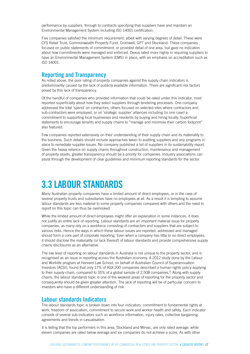performance by suppliers, through to contracts specifying that suppliers have and maintain an Environmental Management System including ISO 14001 certification.

Five companies satisfied the minimum requirement, albeit with varying degrees of detail. These were CFS Retail Trust, Commonwealth Property Fund, Cromwell, GPT and Stockland. These companies focused on public statements of commitment, or provided detail of one area, but gave no indication about how commitments were managed and enforced. Dexus rated more highly in requiring suppliers to have an Environmental Management System (EMS) in place, with an emphasis on accreditation such as ISO 14001.

#### **Reporting and Transparency**

As noted above, the poor rating of property companies against the supply chain indicators is predominantly caused by the lack of publicly available information. There are significant risk factors posed by this lack of transparency.

Of the handful of companies who provided information that could be rated under this indicator, most reported superficially about how they select suppliers through tendering processes. One company addressed the total 'spend' on contractors, others focused on selected sites where contractors and sub-contractors were employed, or on 'strategic supplier' alliances including (in one case) a commitment to supporting local businesses and residents by buying and hiring locally. Superficial statements to encourage tenants and supply chains to "manage and minimise their carbon footprint" also featured.

Few companies reported extensively on their understanding of their supply chain and its materiality to the business. Such details should include approaches taken to auditing suppliers and any programs in place to remediate supplier issues. No company published a list of suppliers in its sustainability report. Given the heavy reliance on supply chains throughout construction, maintenance and management of property assets, greater transparency should be a priority for companies. Industry associations can assist through the development of clear guidelines and minimum reporting standards for the sector.

### **3.3 LABOUR STANDARDS**

Many Australian property companies have a limited amount of direct employees, or in the case of several property trusts and subsidiaries have no employees at all. As a result it is tempting to assume labour standards are less material to some property companies compared with others and the need to report on this topic can thus be overlooked.

While the limited amount of direct employees might offer an explanation in some instances, it does not justify an entire lack of reporting. Labour standards are an important material issue for property companies, as many rely on a workforce consisting of contractors and suppliers that are subject to various risks. Hence the ways in which these labour issues are reported, addressed and managed should form a core part of corporate reporting. Even when a company has little to no direct employees, it should disclose the materiality (or lack thereof) of labour standards and provide comprehensive supply chains disclosures as an alternative.

The low level of reporting on labour standards in Australia is not unique to the property sector, and is recognised as an issue in reporting across the Australian economy. A 2012 study done by the Labour and Worklife program at Harvard Law School, on behalf of Australian Council of Superannuation Investors (ACSI), found that only 17% of ASX 200 companies described a human rights policy applying to their supply-chain, compared to 35% of a global sample of 2,508 companies.<sup>31</sup> Along with supply chains, the labour standards topic is one of the weakest areas of reporting for the property sector and consequently should be given greater attention. The lack of reporting will be of particular concern to investors who have a different understanding of risk.

#### **Labour standards Indicators**

The labour standards topic is broken down into four indicators: commitment to fundamental rights at work, freedom of association, commitment to secure work and worker health and safety. Each indicator consists of several sub-indicators such as workforce information, injury rates, collective bargaining agreements and trends in casualisation.

It is telling that the top performers in this area, Stockland and Mirvac, are only rated average, while eleven companies are rated below average and six companies do not achieve a score. As with other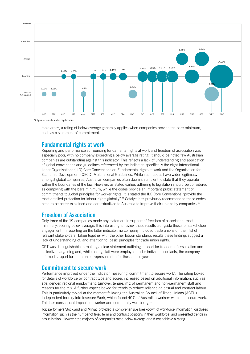

topic areas, a rating of below average generally applies when companies provide the bare minimum, such as a statement of commitment.

#### **Fundamental rights at work**

Reporting and performance surrounding fundamental rights at work and freedom of association was especially poor, with no company exceeding a below average rating. It should be noted few Australian companies are outstanding against this indicator. This reflects a lack of understanding and application of global conventions and guidelines referenced by the indicator, specifically the eight International Labor Organisations (ILO) Core Conventions on Fundamental rights at work and the Organisation for Economic Development (OECD) Multinational Guidelines. While such codes have wider legitimacy amongst global companies, Australian companies often deem it sufficient to state that they operate within the boundaries of the law. However, as stated earlier, adhering to legislation should be considered as complying with the bare minimum, while the codes provide an important public statement of commitments to global principles for worker rights. It is stated the ILO Core Conventions "provide the most detailed protection for labour rights globally".<sup>32</sup> Catalyst has previously recommended these codes need to be better explained and contextualized to Australia to improve their uptake by companies.<sup>33</sup>

#### **Freedom of Association**

Only three of the 19 companies made any statement in support of freedom of association, most minimally, scoring below average. It is interesting to review these results alongside those for stakeholder engagement. In reporting on the latter indicator, no company included trade unions on their list of relevant stakeholders. Taken together with the other labour standards results these findings suggest a lack of understanding of, and attention to, basic principles for trade union rights.

GPT was distinguishable in making a clear statement outlining support for freedom of association and collective bargaining and, while noting staff were employed under individual contacts, the company affirmed support for trade union representation for these employees.

#### **Commitment to secure work**

**Performance improved under the indicator measuring 'commitment to secure work'. The rating looked** for details of workforce by contract type and scores increased based on additional information, such as age, gender, regional employment, turnover, tenure, mix of permanent and non-permanent staff and reasons for the mix. A further aspect looked for trends to reduce reliance on casual and contract labour. This is particularly topical at the moment following the Australian Council of Trade Unions (ACTU) Independent Inquiry into Insecure Work, which found 40% of Australian workers were in insecure work. This has consequent impacts on worker and community well-being.<sup>34</sup>

Top performers Stockland and Mirvac provided a comprehensive breakdown of workforce information, disclosed information such as the number of fixed term and contract positions in their workforce, and presented trends in casualisation. However the majority of companies rated below average or did not achieve a rating.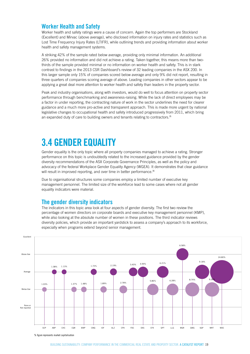#### **Worker Health and Safety**

Worker health and safety ratings were a cause of concern. Again the top performers are Stockland (Excellent) and Mirvac (above average), who disclosed information on injury rates and statistics such as Lost Time Frequency Injury Rates (LTIFR), while outlining trends and providing information about worker health and safety management systems.

A striking 42% of the sample rated below average, providing only minimal information. An additional 26% provided no information and did not achieve a rating. Taken together, this means more than two-6.58% 9.18% thirds of the sample provided minimal or no information on worker health and safety. This is in stark contrast to findings in the 2013 CSR Dashboard's review of 32 leading companies in the ASX 200. In this larger sample only 15% of companies scored below average and only 9% did not report, resulting in three quarters of companies scoring average of above. Leading companies in other sectors appear to be applying a great deal more attention to worker health and safety than leaders in the property sector.

Peak and industry organisations, along with investors, would do well to focus attention on property sector performance through benchmarking and awareness-raising. While the lack of direct employees may be a factor in under reporting, the contracting nature of work in the sector underlines the need for clearer guidance and a much more pro-active and transparent approach. This is made more urgent by national legislative changes to occupational health and safety introduced progressively from 2011, which bring an expanded duty of care to building owners and tenants relating to contractors.<sup>35</sup>

### **3.4 GENDER EQUALITY**

Gender equality is the only topic where all property companies managed to achieve a rating. Stronger performance on this topic is undoubtedly related to the increased guidance provided by the gender diversity recommendations of the ASX Corporate Governance Principles, as well as the policy and advocacy of the federal Workplace Gender Equality Agency (WGEA). It demonstrates that clear guidance will result in improved reporting, and over time in better performance.<sup>36</sup>

Due to organisational structures some companies employ a limited number of executive key management personnel. The limited size of the workforce lead to some cases where not all gender equality indicators were material. 1.03% 1.08%

#### **The gender diversity indicators**

The indicators in this topic area look at four aspects of gender diversity. The first two review the percentage of women directors on corporate boards and executive key management personnel (KMP), while also looking at the absolute number of women in these positions. The third indicator reviews diversity policies, which provide an important yardstick to assess a company's approach to its workforce, especially when programs extend beyond senior management.



% figure represents market capitalisation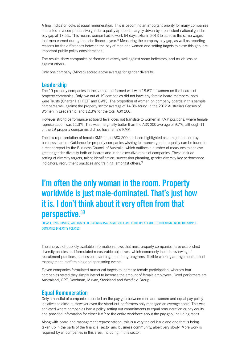A final indicator looks at equal remuneration. This is becoming an important priority for many companies interested in a comprehensive gender equality approach, largely driven by a persistent national gender pay gap at 17.5%. This means women had to work 64 days extra in 2013 to achieve the same wages that men earned during the prior financial year. $37$  Measuring the company pay gap, as well as reporting reasons for the differences between the pay of men and women and setting targets to close this gap, are important public policy considerations.

The results show companies performed relatively well against some indicators, and much less so against others.

Only one company (Mirvac) scored above average for gender diversity.

#### **Leadership**

The 19 property companies in the sample performed well with 18.6% of women on the boards of property companies. Only two out of 19 companies did not have any female board members: both were Trusts (Charter Hall REIT and BWP). The proportion of women on company boards in this sample compares well against the property sector average of 14.8% found in the 2012 Australian Census of Women in Leadership, and 12.3% for the total ASX 200.

However strong performance at board level does not translate to women in KMP positions, where female representation was 11.3%. This was marginally better than the ASX 200 average of 9.7%, although 11 of the 19 property companies did not have female KMP.

The low representation of female KMP in the ASX 200 has been highlighted as a major concern by business leaders. Guidance for property companies wishing to improve gender equality can be found in a recent report by the Business Council of Australia, which outlines a number of measures to achieve greater gender diversity both on boards and in the executive ranks of companies. These include setting of diversity targets, talent identification, succession planning, gender diversity key performance indicators, recruitment practices and training, amongst others.<sup>38</sup>

### **I'm often the only woman in the room. Property worldwide is just male-dominated. That's just how it is. I don't think about it very often from that perspective.**<sup>39</sup>

SUSAN LLOYD-HURWITZ, WHO HAS BEEN LEADING MIRVAC SINCE 2013, AND IS THE ONLY FEMALE CEO HEADING ONE OF THE SAMPLE COMPANIES DIVERSITY POLICIES

The analysis of publicly available information shows that most property companies have established diversity policies and formulated measurable objectives, which commonly include reviewing of recruitment practices, succession planning, mentoring programs, flexible working arrangements, talent management, staff training and sponsoring events.

Eleven companies formulated numerical targets to increase female participation, whereas four companies stated they simply intend to increase the amount of female employees. Good performers are Australand, GPT, Goodman, Mirvac, Stockland and Westfield Group.

#### **Equal Remuneration**

Only a handful of companies reported on the pay gap between men and women and equal pay policy initiatives to close it. However even the stand-out performers only managed an average score. This was achieved where companies had a policy setting out commitments to equal remuneration or pay equity, and provided information for either KMP or the entire workforce about the pay gap, including ratios.

Along with board and management representation, this is a very topical issue and one that is being taken up in the parts of the financial sector and business community, albeit very slowly. More work is required by all companies in this area, including in this sector.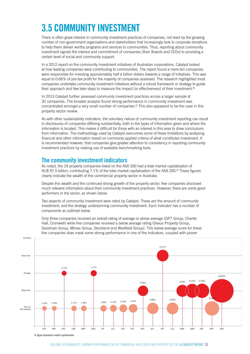# **3.5 COMMUNITY INVESTMENT**

There is often great interest in community investment practices of companies, not least by the growing number of non-government organisations and stakeholders that increasingly look to corporate donations 9.18% to help them deliver worthy programs and services to communities. Thus, reporting about community investment signals the interest and commitment of companies (their Boards and CEOs) to providing a certain level of social and community support.

In a 2012 report on the community investment initiatives of Australian corporations, Catalyst looked at how leading companies were contributing to communities. The report found a mere ten companies were responsible for investing approximately half a billion dollars towards a range of initiatives. This was equal to 0.66% of pre-tax profit for the majority of companies assessed. The research highlighted most companies undertake community investment initiatives without a robust framework or strategy to guide their approach and few take steps to measure the impact (or effectiveness) of their investment.<sup>40</sup>

In 2013 Catalyst further assessed community investment practices across a larger sample of 32 companies. The broader analysis found strong performance in community investment was concentrated amongst a very small number of companies.41 This also appeared to be the case in this property sector review.<br>
and the comparison of the comparison of the comparison of the comparison of the comparison of the comparison o

As with other sustainability indicators, the voluntary nature of community investment reporting can result in disclosures of companies differing substantially, both in the types of information given and where the information is located. This makes it difficult for those with an interest in this area to draw conclusions from information. The methodology used by Catalyst overcomes some of these limitations by analysing financial and other information based on commonly applied criteria of what constitutes investment. It is recommended however, that companies give greater attention to consistency in reporting community investment practices by making use of available benchmarking tools.

#### **The community investment indicators** 1.89%

As noted, the 19 property companies listed on the ASX 200 had a total market capitalisation of AU\$ 97.5 billion, contributing 7.1% of the total market capitalisation of the ASX 200.<sup>42</sup> These figures clearly indicate the wealth of the commercial property sector in Australia.

Despite this wealth and the continued strong growth of the property sector, few companies disclosed much relevant information about their community investment practices. However, there are some good performers in the sector, as shown below.

Two aspects of community investment were rated by Catalyst. These are the amount of community investment, and the strategy underpinning community investment. Each indicator has a number of components as outlined below.

Only three companies received an overall rating of average or above average (GPT Group, Charter Hall, Cromwell) while five companies received a below average rating (Dexus Property Group, Goodman Group, Mirvac Group, Stockland and Westfield Group). This below average score for these five companies does mask some strong performance in one of the indicators, coupled with poorer



% figure represents market capitalisation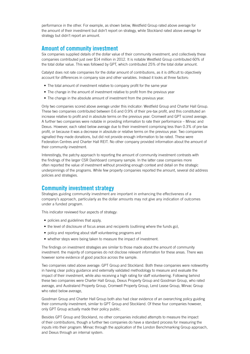performance in the other. For example, as shown below, Westfield Group rated above average for the amount of their investment but didn't report on strategy, while Stockland rated above average for strategy but didn't report an amount.

#### **Amount of community investment**

Six companies supplied details of the dollar value of their community investment, and collectively these companies contributed just over \$14 million in 2012. It is notable Westfield Group contributed 60% of the total dollar value. This was followed by GPT, which contributed 25% of the total dollar amount.

Catalyst does not rate companies for the dollar amount of contributions, as it is difficult to objectively account for differences in company size and other variables. Instead it looks at three factors:

- The total amount of investment relative to company profit for the same year
- The change in the amount of investment relative to profit from the previous year
- The change in the absolute amount of investment from the previous year.

Only two companies scored above average under this indicator: Westfield Group and Charter Hall Group. These two companies contributed between 0.6 and 0.9% of their pre-tax profit, and this constituted an increase relative to profit and in absolute terms on the previous year. Cromwell and GPT scored average. A further two companies were notable in providing information to rate their performance – Mirvac and Dexus. However, each rated below average due to their investment comprising less than 0.3% of pre-tax profit, or because it was a decrease in absolute or relative terms on the previous year. Two companies signalled they made donations, but did not provide enough information to be rated. These were Federation Centres and Charter Hall REIT. No other company provided information about the amount of their community investment.

Interestingly, the patchy approach to reporting the amount of community investment contrasts with the findings of the larger CSR Dashboard company sample. In the latter case companies more often reported the value of investment without providing enough context and detail on the strategic underpinnings of the programs. While few property companies reported the amount, several did address policies and strategies.

#### **Community investment strategy**

Strategies guiding community investment are important in enhancing the effectiveness of a company's approach, particularly as the dollar amounts may not give any indication of outcomes under a funded program.

This indicator reviewed four aspects of strategy:

- policies and guidelines that apply,
- the level of disclosure of focus areas and recipients (outlining where the funds go),
- policy and reporting about staff volunteering programs and
- whether steps were being taken to measure the impact of investment.

The findings on investment strategies are similar to those made about the amount of community investment: the majority of companies do not disclose relevant information for these areas. There was however some evidence of good practice across the sample.

Two companies rated above average: GPT Group and Stockland. Both these companies were noteworthy in having clear policy guidance and externally validated methodology to measure and evaluate the impact of their investment, while also receiving a high rating for staff volunteering. Following behind these two companies were Charter Hall Group, Dexus Property Group and Goodman Group, who rated average, and Australand Property Group, Cromwell Property Group, Lend Lease Group, Mirvac Group who rated below average,

Goodman Group and Charter Hall Group both also had clear evidence of an overarching policy guiding their community investment, similar to GPT Group and Stockland. Of these four companies however, only GPT Group actually made their policy public.

Besides GPT Group and Stockland, no other companies indicated attempts to measure the impact of their contributions, though a further two companies do have a standard process for measuring the inputs into their program: Mirvac through the application of the London Benchmarking Group approach, and Dexus through an internal system.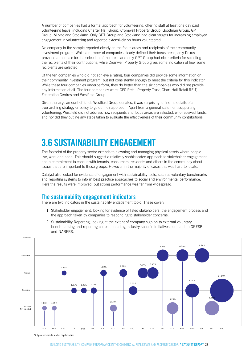A number of companies had a formal approach for volunteering, offering staff at least one day paid volunteering leave, including Charter Hall Group, Cromwell Property Group, Goodman Group, GPT Group, Mirvac and Stockland. Only GPT Group and Stockland had clear targets for increasing employee engagement in volunteering and reported extensively on hours volunteered.

No company in the sample reported clearly on the focus areas and recipients of their community investment program. While a number of companies clearly defined their focus areas, only Dexus provided a rationale for the selection of the areas and only GPT Group had clear criteria for selecting the recipients of their contributions, while Cromwell Property Group gives some indication of how some recipients are selected.

Of the ten companies who did not achieve a rating, four companies did provide some information on their community investment program, but not consistently enough to meet the criteria for this indicator. 3.40% While these four companies underperform, they do better than the six companies who did not provide any information at all. The four companies were: CFS Retail Property Trust, Chart Hall Retail REIT, Federation Centres and Westfield Group.

Given the large amount of funds Westfield Group donates, it was surprising to find no details of an over-arching strategy or policy to guide their approach. Apart from a general statement supporting volunteering, Westfield did not address how recipients and focus areas are selected, who received funds, and nor did they outline any steps taken to evaluate the effectiveness of their community contributions.

### **3.6 SUSTAINABILITY ENGAGEMENT**

The footprint of the property sector extends to it owning and managing physical assets where people live, work and shop. This should suggest a relatively sophisticated approach to stakeholder engagement, and a commitment to consult with tenants, consumers, residents and others in the community about issues that are important to these groups. However in the majority of cases this was hard to locate.

Catalyst also looked for evidence of engagement with sustainability tools, such as voluntary benchmarks and reporting systems to inform best practice approaches to social and environmental performance. Here the results were improved, but strong performance was far from widespread.

#### **The sustainability engagement indicators**

There are two indicators in the sustainability engagement topic. These cover:

- 1. Stakeholder engagement, looking for evidence of listed stakeholders, the engagement process and the approach taken by companies to responding to stakeholder concerns.
- 2. Sustainability Reporting, looking at the extent of company sign on to external voluntary benchmarking and reporting codes, including industry specific initiatives such as the GRESB and NABERS.

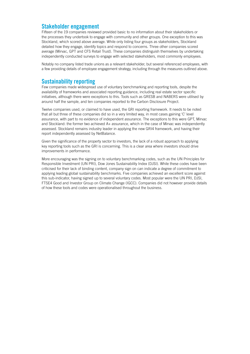#### **Stakeholder engagement**

Fifteen of the 19 companies reviewed provided basic to no information about their stakeholders or the processes they undertook to engage with community and other groups. One exception to this was Stockland, which scored above average. While only listing four groups as stakeholders, Stockland detailed how they engage, identify topics and respond to concerns. Three other companies scored average (Mirvac, GPT and CFS Retail Trust). These companies distinguish themselves by undertaking independently conducted surveys to engage with selected stakeholders, most commonly employees.

Notably no company listed trade unions as a relevant stakeholder, but several referenced employees, with a few providing details of employee engagement strategy, including through the measures outlined above.

#### **Sustainability reporting**

Few companies made widespread use of voluntary benchmarking and reporting tools, despite the availability of frameworks and associated reporting guidance, including real estate sector specific initiatives, although there were exceptions to this. Tools such as GRESB and NABERS were utilised by around half the sample, and ten companies reported to the Carbon Disclosure Project.

Twelve companies used, or claimed to have used, the GRI reporting framework. It needs to be noted that all but three of these companies did so in a very limited way, in most cases gaining 'C' level assurance, with part to no evidence of independent assurance. The exceptions to this were GPT, Mirvac and Stockland: the former two achieved A+ assurance, which in the case of Mirvac was independently assessed. Stockland remains industry leader in applying the new GRI4 framework, and having their report independently assessed by NetBalance.

Given the significance of the property sector to investors, the lack of a robust approach to applying key reporting tools such as the GRI is concerning. This is a clear area where investors should drive improvements in performance.

More encouraging was the signing on to voluntary benchmarking codes, such as the UN Principles for Responsible Investment (UN PRI), Dow Jones Sustainability Index (DJSI). While these codes have been criticised for their lack of binding content, company sign on can indicate a degree of commitment to applying leading global sustainability benchmarks. Five companies achieved an excellent score against this sub-indicator, having signed up to several voluntary codes. Most popular were the UN PRI, DJSI, FTSE4 Good and Investor Group on Climate Change (IGCC). Companies did not however provide details of how these tools and codes were operationalised throughout the business.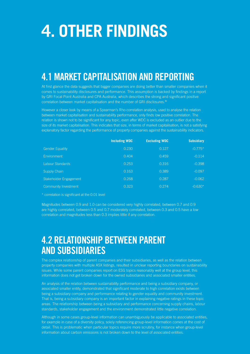# **4. OTHER FINDINGS**

### **4.1 MARKET CAPITALISATION AND REPORTING**

At first glance the data suggests that bigger companies are doing better than smaller companies when it comes to sustainability disclosures and performance. This assumption is backed by findings in a report by GRI Focal Point Australia and CPA Australia, which describes the strong and significant positive correlation between market capitalisation and the number of GRI disclosures.<sup>43</sup>

However a closer look by means of a Spearman's Rho correlation analysis, used to analyse the relation between market capitalisation and sustainability performance, only finds low positive correlation. The relation is shown not to be significant for any topic, even after WDC is excluded as an outlier due to the size of its market capitalisation. This indicates that size, in terms of market capitalisation, is not a satisfying explanatory factor regarding the performance of property companies against the sustainability indicators.

|                             | <b>Including WDC</b> | <b>Excluding WDC</b> | <b>Subsidiary</b> |
|-----------------------------|----------------------|----------------------|-------------------|
| <b>Gender Equality</b>      | 0.230                | 0.127                | $-0.775*$         |
| <b>Environment</b>          | 0.404                | 0.459                | $-0.114$          |
| Labour Standards            | 0.253                | 0.316                | $-0.398$          |
| Supply Chain                | 0.163                | 0.389                | $-0.097$          |
| Stakeholder Engagement      | 0.268                | 0.287                | $-0.062$          |
| <b>Community Investment</b> | 0.323                | 0.274                | $-0.630*$         |

\* correlation is significant at the 0.01 level

Magnitudes between 0.9 and 1.0 can be considered very highly correlated, between 0.7 and 0.9 are highly correlated, between 0.5 and 0.7 moderately correlated, between 0.3 and 0.5 have a low correlation and magnitudes less than 0.3 implies little if any correlation.

### **4.2 RELATIONSHIP BETWEEN PARENT AND SUBSIDIARIES**

The complex relationship of parent companies and their subsidiaries, as well as the relation between property companies with multiple ASX listings, resulted in unclear reporting boundaries on sustainability issues. While some parent companies report on ESG topics reasonably well at the group level, this information does not get broken down for the owned subsidiaries and associated smaller entities.

An analysis of the relation between sustainability performance and being a subsidiary company, or associated smaller entity, demonstrated that significant moderate to high correlation exists between being a subsidiary company and performance relating to gender equality and community investment. That is, being a subsidiary company is an important factor in explaining negative ratings in these topic areas. The relationship between being a subsidiary and performance concerning supply chains, labour standards, stakeholder engagement and the environment demonstrated little negative correlation.

Although in some cases group-level information can unambiguously be applicable to associated entities, for example in case of a diversity policy, solely referencing group-level information comes at the cost of detail. This is problematic when particular topics require more scrutiny, for instance when group-level information about carbon emissions is not broken down to the level of associated entities.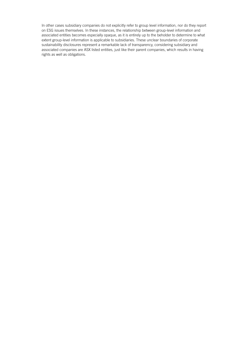In other cases subsidiary companies do not explicitly refer to group level information, nor do they report on ESG issues themselves. In these instances, the relationship between group-level information and associated entities becomes especially opaque, as it is entirely up to the beholder to determine to what extent group-level information is applicable to subsidiaries. These unclear boundaries of corporate sustainability disclosures represent a remarkable lack of transparency, considering subsidiary and associated companies are ASX listed entities, just like their parent companies, which results in having rights as well as obligations.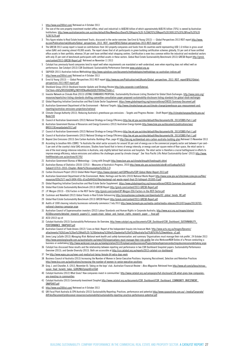- 1 http://www.asx200list.com/ Retrieved on 4 October 2013
- 2 The size of the core property investment market (office, retail and industrial) is AU\$280 billion of which approximately AU\$195 billion (70%) is owned by Australian Institutions. http://www.australiancentre.com.au/sites/default/files/NewsDocs/David%20Higgins%20-%20ACFS%20Report%201909132%20%28Final%29%20 %281%29.pdf
- 3 This figure relates to Real Estate Investment Trusts, discussed in the sector overview. See Ernst & Young (2013) Global Perspectives 2013 REIT report http://www. ey.com/Publication/vwLUAssets/Global\_perspectives\_2013\_REIT\_report/\$FILE/Global-perspectives-2013-REIT-report.pdf
- 4 The GRESB 2013 survey report is based on contributions from 543 property companies and funds from 46 countries world representing USD 1.6 trillion in gross asset value (GAV) and covering almost 49,000 assets. The report shows that of all participants in green building certification schemes globally, 55 per cent of have certified office assets in their portfolio, whereas 34 per cent have certified retail shopping centres. Certification is even less common within the industrial and residential sectors with only 25 per cent of benchmark participants with certified assets in these sectors. Global Real Estate Sustainability Benchmark (2013) GRESB Report http://gresb. com/content/2013-GRESB-Report.pdf Retrieved on November 11 2013
- 5 Catalyst has previously found companies tend to report well when requirements are mandated or well-understood, even when reporting does not reflect well on performance. See Catalyst (2013) CSR Dashboard: Sustainability Performance Overview www.catalyst.org.au
- 6 S&P/ASX (2011) Australian Indices Methodology http://www.spindices.com/documents/methodologies/methodology-sp-australian-indices.pdf
- http://www.asx200list.com/ Retrieved on 4 October 2013
- 8 Ernst & Young (2013) Global Perspectives 2013 REIT report http://www.ey.com/Publication/vwLUAssets/Global\_perspectives\_2013\_REIT\_report/\$FILE/Globalperspectives-2013-REIT-report.pdf
- 10 Stockland Group (2013) Stockland Investor Update and Strategy Review http://phx.corporate-ir.net/External. File?item=UGFyZW50SUQ9MTg1NDY4fENoaWxkSUQ9LTF8VHlwZT0z&t=1
- 11 Investor Network on Climate Risk (2013) LISTING STANDARDS PROPOSAL: Sustainability Disclosure Listing Standard for Global Stock Exchanges. http://www.ceres.org/ resources/reports/incr-listing-standards-drafting-committee-consultation-paper-proposed-sustainability-disclosure-listing-standard-for-global-stock-exchanges
- 12 Global Reporting Initiative Construction and Real Estate Sector Supplement. https://www.globalreporting.org/resourcelibrary/CRESS-Summary-Document.pdf 13 Australian Government Department of the Environment – National Targets. http://www.climatechange.gov.au/climate-change/greenhouse-gas-measurement-and-
- reporting/australias-emissions-projections/national
- 14 Climate Change Authority (2013). Reducing Australia's greenhouse gas emissions Targets and Progress Review Draft Report http://climatechangeauthority.gov.au/ Node/100
- 15 Council of Australian Governments (2012) National Strategy on Energy Efficiency http://ee.ret.gov.au/sites/default/files/documents/06\_2013/CBBS-Part-1.pdf
- 16 Australian Government Bureau of Resources and Energy Economics (2012) Australian Energy Update http://www.bree.gov.au/documents/publications/aes/ BRE0133EnergyUpdate2012.pdf
- 17 Council of Australian Governments (2012) National Strategy on Energy Efficiency http://ee.ret.gov.au/sites/default/files/documents/06\_2013/CBBS-Part-1.pdf
- 18 Council of Australian Governments (2012) National Strategy on Energy Efficiency http://ee.ret.gov.au/sites/default/files/documents/06\_2013/CBBS-Part-1.pdf
- 19 Beyond Zero Emissions (2013) Zero Carbon Australia: Buildings Plan, page 42 http://bze.org.au/download-zero-carbon-australia-building-plan Retrieved 15 November 2013
- 20 According to Jonathon Hills (CBRE) "In Australia the retail sector accounts for around 50 per cent of energy use in the commercial property sector and between 4 per cent– 5 per cent of the country's total GHG emissions. Studies have found that in terms of energy intensity, or energy used per square metre of floor space, the retail sector is one of the most energy intensive industries in Australia, only slightly behind food services and hospitals. The retail sector is therefore a crucial battleground in efforts to improve energy efficiency, reduce emissions and address the challenges posed by climate change". See 'Asia Pacific Lifts Retail Sustainability Game' (2012) http://www. thefifthestate.com.au/archives/41745/
- 21 Australian Government Bureau of Meteorology Living with Drought http://www.bom.gov.au/climate/drought/livedrought.shtml
- 22 Australian Bureau of Statistics (2010) 1370.0 Measures of Australia's Progress, 2010 http://www.abs.gov.au/ausstats/abs@.nsf/Lookup/by%20 Subject/1370.0~2010~Chapter~Water%20consumption%20(6.3.2)
- 23 Carbon Disclosure Project (2013) Global Water Report https://www.cdproject.net/CDPResults/CDP-Global-Water-Report-2013.pdf
- 24 Australian Government Department of the Environment, Water, Heritage and the Arts (2010) National Waste Report http://www.scew.gov.au/sites/www.scew.gov.au/files/ resources/020c2577-eac9-0494-493c-d1ce2b4442e5/files/wastemgt-nat-waste-report-final-20-fullreport-201005-0.pdf
- 25 Global Reporting Initiative Construction and Real Estate Sector Supplement. https://www.globalreporting.org/resourcelibrary/CRESS-Summary-Document.pdf
- 26 Global Real Estate Sustainability Benchmark (2013) GRESB Report http://gresb.com/content/2013-GRESB-Report.pdf
- 27 J.P. Morgan (2013) ESG Factors in the REIT Sector http://gresb.com/content/JP-Morgan-ESG-Factors-in-the-REIT-Sector.pdf
- 28 Cushman and Wakefield (2012) Global Trends in Real Estate Outsourcing http://annualreview.cushwake.com/downloads/03\_global\_trends\_RE.pdf
- 29 Global Real Estate Sustainability Benchmark (2013) GRESB Report http://gresb.com/content/2013-GRESB-Report.pdf
- 30 Audits of 1000 cleaning industry businesses nationally commence 2 July 2013 http://www.fairwork.gov.au/media-centre/media-releases/2013/07/pages/20130702 national-cleaning-campaign.aspx
- 31 Australian Council of Superannuation investors (2012) Labour Standards and Human Rights in Corporate Australia, http://www.acsi.org.au/images/stories/ ACSIDocuments/detailed\_research\_papers/11\_supply-chain\_labour\_and\_human\_rights\_research\_paper\_-\_final.pdf
- 32 ACSI (2012) op cit
- 33 Catalyst Australia (2013) Sustainability Performance: An Overview, http://www.catalyst.org.au/documents/CSR\_Dashboard/CSR\_Dashboard\_SUSTAINABILITY\_ PERFORMANCE\_SNAPSHOT.pdf
- 34 Australian Council of Trade Unions (2012) 'Lives on Hold: Report of the Independent Inquiry into Insecure Work 'http://www.actu.org.au/Images/Dynamic/ attachments/7626/Lives%20on%20Hold%20-%20Unlocking%20the%20potential%20of%20Australia%e2%80%99s%20workforce\_v2.pdf
- 35 Jones Lang LaSalle (2013) *Managing Risk: National work health and safety harmonisation.* and summary 'Organisations must manage their risk profile', 24 October 2013 http://www.joneslanglasalle.com.au/australia/en-au/news/593/organisations-must-manage-their-risk-profile See also WorkcoverNSW Duties of a Person conducting a business or undertaking http://www.workcover.nsw.gov.au/newlegislation2012/Employersandbusinesses/Pages/dutiesofapersonconductingabusinessorundertaking.aspx
- 36 Catalyst has discussed these results and the relationship between reporting and performance in two CSR Dashboard Snapshot papers: Sustainability Performance Overview (2013); and Gender Diversity (2013). Both are accessible at http://csr.catalyst.org.au/reports/2013-catalyst-csr-dashboard/
- 37 See http://www.wgea.gov.au/news-and-media/cost-being-female-64-extra-days-work
- 38 Business Council of Australia (2013) Increasing the Number of Women in Senior Executive Positions: Improving Recruitment, Selection and Retention Practices http://www.bca.com.au/publications/increasing-the-number-of-women-in-senior-executive-positions
- 39 Gray, J. and Chandler, A. (2013, November 8). Taking on the boys' club. *Australian Financial Review Boss Magazine*. Retrieved from http://www.afr.com/p/boss/mirvac\_ susan\_lloyd\_hurwitz\_takes\_Gj0RZNUi2giegz6Ero1OyH
- 40 Catalyst Australia (2012) What Gives? How companies invest in communities' http://www.catalyst.org.au/campaigns/full-disclosure/138-what-gives-how-companiesare-investing-in-communities
- 41 Catalyst Australia (2013) Community Investment Snaphot http://www.catalyst.org.au/documents/CSR\_Dashboard/CSR\_Dashboard\_COMMUNITY\_INVESTMENT\_ SNAPSHOT.pdf
- 42 http://www.asx200list.com/ Retrieved on 4 October 2013
- 43 GRI Focal Point Australia & CPA Australia (2013) Sustainability Reporting: Practices, performance and potential http://www.cpaaustralia.com.au/~/media/Corporate/ AllFiles/Document/professional-resources/sustainability/sustainability-reporting-practice-performance-potential.pdf